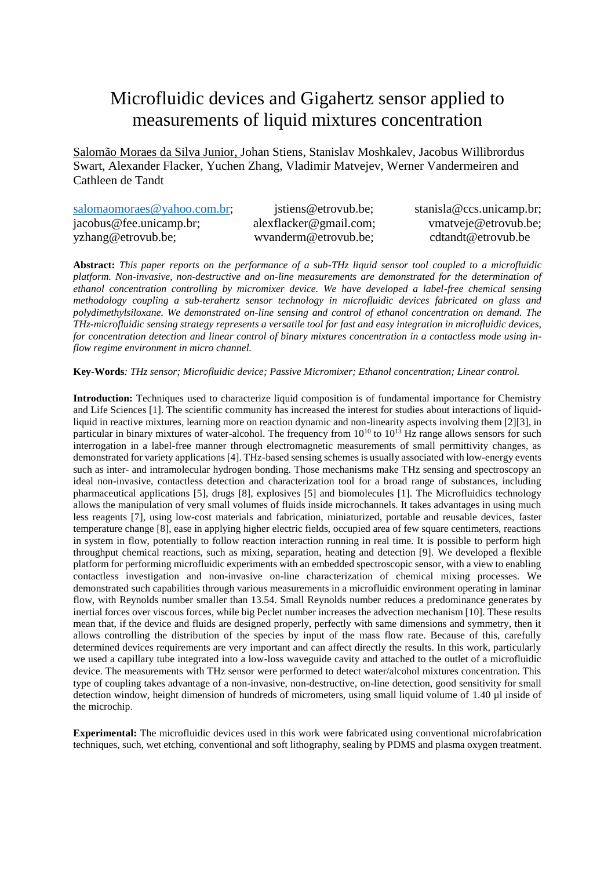## Microfluidic devices and Gigahertz sensor applied to measurements of liquid mixtures concentration

Salomão Moraes da Silva Junior, Johan Stiens, Stanislav Moshkalev, Jacobus Willibrordus Swart, Alexander Flacker, Yuchen Zhang, Vladimir Matvejev, Werner Vandermeiren and Cathleen de Tandt

| salomaomoraes@yahoo.com.br; | jstiens@etrovub.be;    | stanisla@ccs.unicamp.br; |
|-----------------------------|------------------------|--------------------------|
| jacobus@fee.unicamp.br;     | alexflacker@gmail.com; | vmatveje@etrovub.be;     |
| yzhang@etrovub.be;          | wyanderm@etrovub.be;   | cdtandt@etrovub.be       |

**Abstract:** *This paper reports on the performance of a sub-THz liquid sensor tool coupled to a microfluidic platform. Non-invasive, non-destructive and on-line measurements are demonstrated for the determination of ethanol concentration controlling by micromixer device. We have developed a label-free chemical sensing methodology coupling a sub-terahertz sensor technology in microfluidic devices fabricated on glass and polydimethylsiloxane. We demonstrated on-line sensing and control of ethanol concentration on demand. The THz-microfluidic sensing strategy represents a versatile tool for fast and easy integration in microfluidic devices, for concentration detection and linear control of binary mixtures concentration in a contactless mode using inflow regime environment in micro channel.*

**Key-Words***: THz sensor; Microfluidic device; Passive Micromixer; Ethanol concentration; Linear control.*

**Introduction:** Techniques used to characterize liquid composition is of fundamental importance for Chemistry and Life Sciences [1]. The scientific community has increased the interest for studies about interactions of liquidliquid in reactive mixtures, learning more on reaction dynamic and non-linearity aspects involving them [2][3], in particular in binary mixtures of water-alcohol. The frequency from  $10^{10}$  to  $10^{13}$  Hz range allows sensors for such interrogation in a label-free manner through electromagnetic measurements of small permittivity changes, as demonstrated for variety applications [4]. THz-based sensing schemes is usually associated with low-energy events such as inter- and intramolecular hydrogen bonding. Those mechanisms make THz sensing and spectroscopy an ideal non-invasive, contactless detection and characterization tool for a broad range of substances, including pharmaceutical applications [5], drugs [8], explosives [5] and biomolecules [1]. The Microfluidics technology allows the manipulation of very small volumes of fluids inside microchannels. It takes advantages in using much less reagents [7], using low-cost materials and fabrication, miniaturized, portable and reusable devices, faster temperature change [8], ease in applying higher electric fields, occupied area of few square centimeters, reactions in system in flow, potentially to follow reaction interaction running in real time. It is possible to perform high throughput chemical reactions, such as mixing, separation, heating and detection [9]. We developed a flexible platform for performing microfluidic experiments with an embedded spectroscopic sensor, with a view to enabling contactless investigation and non-invasive on-line characterization of chemical mixing processes. We demonstrated such capabilities through various measurements in a microfluidic environment operating in laminar flow, with Reynolds number smaller than 13.54. Small Reynolds number reduces a predominance generates by inertial forces over viscous forces, while big Peclet number increases the advection mechanism [10]. These results mean that, if the device and fluids are designed properly, perfectly with same dimensions and symmetry, then it allows controlling the distribution of the species by input of the mass flow rate. Because of this, carefully determined devices requirements are very important and can affect directly the results. In this work, particularly we used a capillary tube integrated into a low-loss waveguide cavity and attached to the outlet of a microfluidic device. The measurements with THz sensor were performed to detect water/alcohol mixtures concentration. This type of coupling takes advantage of a non-invasive, non-destructive, on-line detection, good sensitivity for small detection window, height dimension of hundreds of micrometers, using small liquid volume of 1.40 µl inside of the microchip.

**Experimental:** The microfluidic devices used in this work were fabricated using conventional microfabrication techniques, such, wet etching, conventional and soft lithography, sealing by PDMS and plasma oxygen treatment.